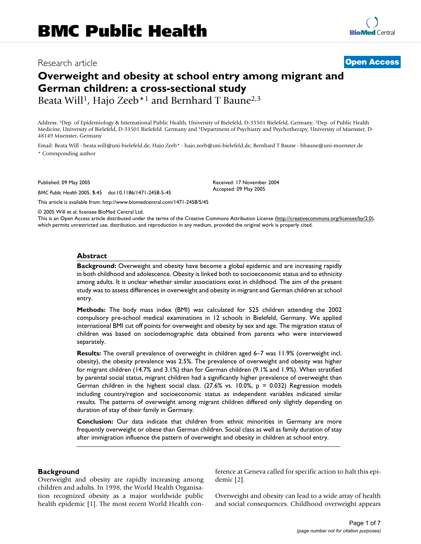# Research article **[Open Access](http://www.biomedcentral.com/info/about/charter/)**

# **Overweight and obesity at school entry among migrant and German children: a cross-sectional study**

Beata Will<sup>1</sup>, Hajo Zeeb<sup>\*1</sup> and Bernhard T Baune<sup>2,3</sup>

Address: 1Dep. of Epidemiology & International Public Health, University of Bielefeld, D-33501 Bielefeld, Germany, 2Dep. of Public Health Medicine, University of Bielefeld, D-33501 Bielefeld. Germany and 3Department of Psychiatry and Psychotherapy, University of Muenster, D-48149 Muenster, Germany

Email: Beata Will - beata.will@uni-bielefeld.de; Hajo Zeeb\* - hajo.zeeb@uni-bielefeld.de; Bernhard T Baune - bbaune@uni-muenster.de \* Corresponding author

Published: 09 May 2005

*BMC Public Health* 2005, **5**:45 doi:10.1186/1471-2458-5-45

[This article is available from: http://www.biomedcentral.com/1471-2458/5/45](http://www.biomedcentral.com/1471-2458/5/45)

Received: 17 November 2004 Accepted: 09 May 2005

© 2005 Will et al; licensee BioMed Central Ltd.

This is an Open Access article distributed under the terms of the Creative Commons Attribution License [\(http://creativecommons.org/licenses/by/2.0\)](http://creativecommons.org/licenses/by/2.0), which permits unrestricted use, distribution, and reproduction in any medium, provided the original work is properly cited.

#### **Abstract**

**Background:** Overweight and obesity have become a global epidemic and are increasing rapidly in both childhood and adolescence. Obesity is linked both to socioeconomic status and to ethnicity among adults. It is unclear whether similar associations exist in childhood. The aim of the present study was to assess differences in overweight and obesity in migrant and German children at school entry.

**Methods:** The body mass index (BMI) was calculated for 525 children attending the 2002 compulsory pre-school medical examinations in 12 schools in Bielefeld, Germany. We applied international BMI cut off points for overweight and obesity by sex and age. The migration status of children was based on sociodemographic data obtained from parents who were interviewed separately.

**Results:** The overall prevalence of overweight in children aged 6–7 was 11.9% (overweight incl. obesity), the obesity prevalence was 2.5%. The prevalence of overweight and obesity was higher for migrant children (14.7% and 3.1%) than for German children (9.1% and 1.9%). When stratified by parental social status, migrant children had a significantly higher prevalence of overweight than German children in the highest social class. (27.6% vs. 10.0%,  $p = 0.032$ ) Regression models including country/region and socioeconomic status as independent variables indicated similar results. The patterns of overweight among migrant children differed only slightly depending on duration of stay of their family in Germany.

**Conclusion:** Our data indicate that children from ethnic minorities in Germany are more frequently overweight or obese than German children. Social class as well as family duration of stay after immigration influence the pattern of overweight and obesity in children at school entry.

## **Background**

Overweight and obesity are rapidly increasing among children and adults. In 1998, the World Health Organisation recognized obesity as a major worldwide public health epidemic [1]. The most recent World Health conference at Geneva called for specific action to halt this epidemic [2].

Overweight and obesity can lead to a wide array of health and social consequences. Childhood overweight appears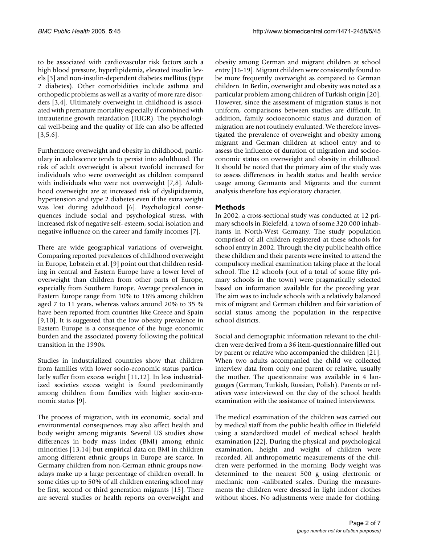to be associated with cardiovascular risk factors such a high blood pressure, hyperlipidemia, elevated insulin levels [3] and non-insulin-dependent diabetes mellitus (type 2 diabetes). Other comorbidities include asthma and orthopedic problems as well as a varity of more rare disorders [3,4]. Ultimately overweight in childhood is associated with premature mortality especially if combined with intrauterine growth retardation (IUGR). The psychological well-being and the quality of life can also be affected [3,5,6].

Furthermore overweight and obesity in childhood, particulary in adolescence tends to persist into adulthood. The risk of adult overweight is about twofold increased for individuals who were overweight as children compared with individuals who were not overweight [7,8]. Adulthood overweight are at increased risk of dyslipidaemia, hypertension and type 2 diabetes even if the extra weight was lost during adulthood [6]. Psychological consequences include social and psychological stress, with increased risk of negative self- esteem, social isolation and negative influence on the career and family incomes [7].

There are wide geographical variations of overweight. Comparing reported prevalences of childhood overweight in Europe, Lobstein et al. [9] point out that children residing in central and Eastern Europe have a lower level of overweight than children from other parts of Europe, especially from Southern Europe. Average prevalences in Eastern Europe range from 10% to 18% among children aged 7 to 11 years, whereas values around 20% to 35 % have been reported from countries like Greece and Spain [9,10]. It is suggested that the low obesity prevalence in Eastern Europe is a consequence of the huge economic burden and the associated poverty following the political transition in the 1990s.

Studies in industrialized countries show that children from families with lower socio-economic status particularly suffer from excess weight [11,12]. In less industrialized societies excess weight is found predominantly among children from families with higher socio-economic status [9].

The process of migration, with its economic, social and environmental consequences may also affect health and body weight among migrants. Several US studies show differences in body mass index (BMI) among ethnic minorities [13,14] but empirical data on BMI in children among different ethnic groups in Europe are scarce. In Germany children from non-German ethnic groups nowadays make up a large percentage of children overall. In some cities up to 50% of all children entering school may be first, second or third generation migrants [15]. There are several studies or health reports on overweight and

obesity among German and migrant children at school entry [16-19]. Migrant children were consistently found to be more frequently overweight as compared to German children. In Berlin, overweight and obesity was noted as a particular problem among children of Turkish origin [20]. However, since the assessment of migration status is not uniform, comparisons between studies are difficult. In addition, family socioeconomic status and duration of migration are not routinely evaluated. We therefore investigated the prevalence of overweight and obesity among migrant and German children at school entry and to assess the influence of duration of migration and socioeconomic status on overweight and obesity in childhood. It should be noted that the primary aim of the study was to assess differences in health status and health service usage among Germants and Migrants and the current analysis therefore has exploratory character.

# **Methods**

In 2002, a cross-sectional study was conducted at 12 primary schools in Bielefeld, a town of some 320.000 inhabitants in North-West Germany. The study population comprised of all children registered at these schools for school entry in 2002. Through the city public health office these children and their parents were invited to attend the compulsory medical examination taking place at the local school. The 12 schools (out of a total of some fifty primary schools in the town) were pragmatically selected based on information available for the preceding year. The aim was to include schools with a relatively balanced mix of migrant and German children and fair variation of social status among the population in the respective school districts.

Social and demographic information relevant to the children were derived from a 36 item-questionnaire filled out by parent or relative who accompanied the children [21]. When two adults accompanied the child we collected interview data from only one parent or relative, usually the mother. The questionnaire was available in 4 languages (German, Turkish, Russian, Polish). Parents or relatives were interviewed on the day of the school health examination with the assistance of trained interviewers.

The medical examination of the children was carried out by medical staff from the public health office in Bielefeld using a standardized model of medical school health examination [22]. During the physical and psychological examination, height and weight of children were recorded. All anthropometric measurements of the children were performed in the morning. Body weight was determined to the nearest 500 g using electronic or mechanic non -calibrated scales. During the measurements the children were dressed in light indoor clothes without shoes. No adjustments were made for clothing.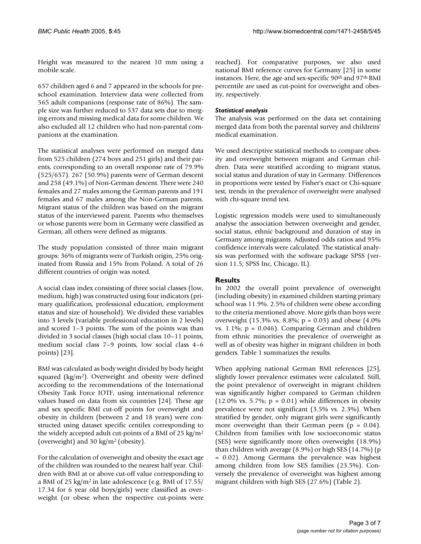Height was measured to the nearest 10 mm using a mobile scale.

657 children aged 6 and 7 appeared in the schools for preschool examination. Interview data were collected from 565 adult companions (response rate of 86%). The sample size was further reduced to 537 data sets due to merging errors and missing medical data for some children. We also excluded all 12 children who had non-parental companions at the examination.

The statistical analyses were performed on merged data from 525 children (274 boys and 251 girls) and their parents, corresponding to an overall response rate of 79.9% (525/657). 267 (50.9%) parents were of German descent and 258 (49.1%) of Non-German descent. There were 240 females and 27 males among the German parents and 191 females and 67 males among the Non-German parents. Migrant status of the children was based on the migrant status of the interviewed parent. Parents who themselves or whose parents were born in Germany were classified as German, all others were defined as migrants.

The study population consisted of three main migrant groups: 36% of migrants were of Turkish origin, 25% originated from Russia and 15% from Poland. A total of 26 different countries of origin was noted.

A social class index consisting of three social classes (low, medium, high) was constructed using four indicators (primary qualification, professional education, employment status and size of household). We divided these variables into 3 levels (variable professional education in 2 levels) and scored 1–3 points. The sum of the points was than divided in 3 social classes (high social class 10–11 points, medium social class 7–9 points, low social class 4–6 points) [23].

BMI was calculated as body weight divided by body height squared ( $\text{kg/m}^2$ ). Overweight and obesity were defined according to the recommendations of the International Obesity Task Force IOTF, using international reference values based on data from six countries [24]. These age and sex specific BMI cut-off points for overweight and obesity in children (between 2 and 18 years) were constructed using dataset specific centiles corresponding to the widely accepted adult cut-points of a BMI of  $25 \text{ kg/m}^2$ (overweight) and 30 kg/m2 (obesity).

For the calculation of overweight and obesity the exact age of the children was rounded to the nearest half year. Children with BMI at or above cut-off value corresponding to a BMI of 25 kg/m<sup>2</sup> in late adolescence (e.g. BMI of  $17.55/$ 17.34 for 6 year old boys/girls) were classified as overweight (or obese when the respective cut-points were reached). For comparative purposes, we also used national BMI reference curves for Germany [25] in some instances. Here, the age-and sex-specific 90<sup>th</sup> and 97<sup>th</sup> BMI percentile are used as cut-point for overweight and obesity, respectively.

## *Statistical analysis*

The analysis was performed on the data set containing merged data from both the parental survey and childrens' medical examination.

We used descriptive statistical methods to compare obesity and overweight between migrant and German children. Data were stratified according to migrant status, social status and duration of stay in Germany. Differences in proportions were tested by Fisher's exact or Chi-square test, trends in the prevalence of overweight were analysed with chi-square trend test.

Logistic regression models were used to simultaneously analyse the association between overweight and gender, social status, ethnic background and duration of stay in Germany among migrants. Adjusted odds ratios and 95% confidence intervals were calculated. The statistical analysis was performed with the software package SPSS (version 11.5; SPSS Inc, Chicago, IL).

## **Results**

In 2002 the overall point prevalence of overweight (including obesity) in examined children starting primary school was 11.9%. 2.5% of children were obese according to the criteria mentioned above. More girls than boys were overweight (15.3% vs. 8.8%;  $p = 0.03$ ) and obese (4.0%) vs.  $1.1\%$ ;  $p = 0.046$ ). Comparing German and children from ethnic minorities the prevalence of overweight as well as of obesity was higher in migrant children in both genders. Table [1](#page-3-0) summarizes the results.

When applying national German BMI references [25], slightly lower prevalence estimates were calculated. Still, the point prevalence of overweight in migrant children was significantly higher compared to German children  $(12.0\% \text{ vs. } 5.7\%; \text{ p} = 0.01)$  while differences in obesity prevalence were not significant (3.5% vs. 2.3%). When stratified by gender, only migrant girls were significantly more overweight than their German peers ( $p = 0.04$ ). Children from families with low socioeconomic status (SES) were significantly more often overweight (18.9%) than children with average (8.9%) or high SES (14.7%) (p = 0.02). Among Germans the prevalence was highest among children from low SES families (23.5%). Conversely the prevalence of overweight was highest among migrant children with high SES (27.6%) (Table [2\)](#page-3-1).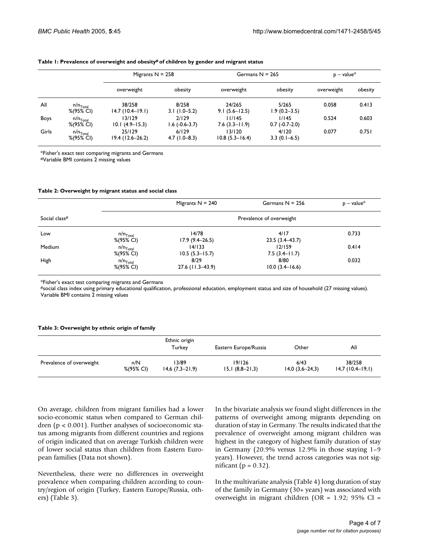|       |                                     | Migrants $N = 258$          |                           | Germans $N = 265$              |                           | $p - value*$ |         |
|-------|-------------------------------------|-----------------------------|---------------------------|--------------------------------|---------------------------|--------------|---------|
|       |                                     | overweight                  | obesity                   | overweight                     | obesity                   | overweight   | obesity |
| All   | $n/n$ <sub>Total</sub><br>%(95% CI) | 38/258<br>$14.7(10.4-19.1)$ | 8/258<br>$3.1(1.0-5.2)$   | 24/265<br>$9.1(5.6 - 12.5)$    | 5/265<br>$1.9(0.2 - 3.5)$ | 0.058        | 0.413   |
| Boys  | $n/n$ <sub>Total</sub><br>%(95% CI) | 13/129<br>$10.1(4.9-15.3)$  | 2/129<br>$1.6$ (-0.6-3.7) | 11/145<br>$7.6$ $(3.3 - 11.9)$ | 1/145<br>$0.7(-0.7-2.0)$  | 0.524        | 0.603   |
| Girls | $n/n$ <sub>Total</sub><br>%(95% CI) | 25/129<br>$19.4(12.6-26.2)$ | 6/129<br>$4.7(1.0-8.3)$   | 13/120<br>$10.8(5.3 - 16.4)$   | 4/120<br>$3.3(0.1 - 6.5)$ | 0.077        | 0.751   |

#### <span id="page-3-0"></span>**Table 1: Prevalence of overweight and obesity# of children by gender and migrant status**

\*Fisher's exact test comparing migrants and Germans

#Variable BMI contains 2 missing values

#### <span id="page-3-1"></span>**Table 2: Overweight by migrant status and social class**

|                                           |                                   | Migrants $N = 240$           | Germans $N = 256$          | $p - value*$ |
|-------------------------------------------|-----------------------------------|------------------------------|----------------------------|--------------|
| Social class#<br>Prevalence of overweight |                                   |                              |                            |              |
| Low                                       | $n/n_{\text{Total}}$<br>%(95% CI) | 14/78<br>$17.9(9.4-26.5)$    | 4/17<br>$23.5(3.4 - 43.7)$ | 0.733        |
| Medium                                    | $n/n_{\text{Total}}$<br>%(95% CI) | 14/133<br>$10.5(5.3 - 15.7)$ | 12/159<br>$7.5(3.4-11.7)$  | 0.414        |
| High                                      | $n/n_{\text{Total}}$<br>%(95% CI) | 8/29<br>$27.6$ (11.3-43.9)   | 8/80<br>$10.0(3.4-16.6)$   | 0.032        |

\*Fisher's exact test comparing migrants and Germans

#social class index using primary educational qualification, professional education, employment status and size of household (27 missing values). Variable BMI contains 2 missing values

#### <span id="page-3-2"></span>**Table 3: Overweight by ethnic origin of family**

|                          |           | Ethnic origin<br>Turkey | Eastern Europe/Russia | Other            | All               |
|--------------------------|-----------|-------------------------|-----------------------|------------------|-------------------|
| Prevalence of overweight | n/N       | 13/89                   | 19/126                | 6/43             | 38/258            |
|                          | %(95% CI) | $14,6(7,3-21,9)$        | $15,1(8,8-21,3)$      | $14,0(3,6-24,3)$ | $14,7(10,4-19,1)$ |

On average, children from migrant families had a lower socio-economic status when compared to German children (p < 0.001). Further analyses of socioeconomic status among migrants from different countries and regions of origin indicated that on average Turkish children were of lower social status than children from Eastern European families (Data not shown).

Nevertheless, there were no differences in overweight prevalence when comparing children according to country/region of origin (Turkey, Eastern Europe/Russia, others) (Table [3](#page-3-2)).

In the bivariate analysis we found slight differences in the patterns of overweight among migrants depending on duration of stay in Germany. The results indicated that the prevalence of overweight among migrant children was highest in the category of highest family duration of stay in Germany (20.9% versus 12.9% in those staying 1–9 years). However, the trend across categories was not significant ( $p = 0.32$ ).

In the multivariate analysis (Table [4\)](#page-4-0) long duration of stay of the family in Germany (30+ years) was associated with overweight in migrant children (OR = 1.92; 95% CI =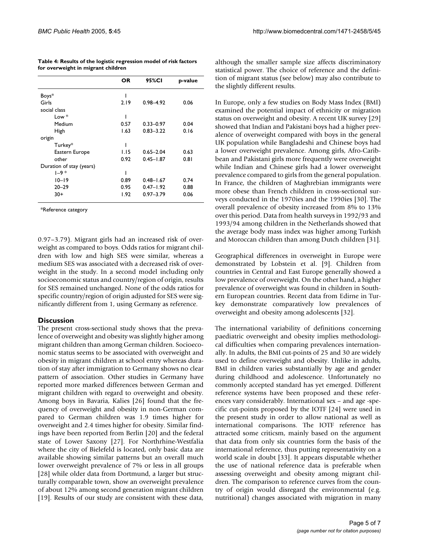|                          | OR   | 95%CI         | p-value |
|--------------------------|------|---------------|---------|
| Boys*                    |      |               |         |
| Girls                    | 2.19 | $0.98 - 4.92$ | 0.06    |
| social class             |      |               |         |
| Low $*$                  | ı    |               |         |
| Medium                   | 0.57 | $0.33 - 0.97$ | 0.04    |
| High                     | 1.63 | $0.83 - 3.22$ | 0.16    |
| origin                   |      |               |         |
| Turkey*                  |      |               |         |
| Eastern Europe           | 1.15 | $0.65 - 2.04$ | 0.63    |
| other                    | 0.92 | $0.45 - 1.87$ | 0.81    |
| Duration of stay (years) |      |               |         |
| $1 - 9 *$                |      |               |         |
| $10 - 19$                | 0.89 | $0.48 - 1.67$ | 0.74    |
| $20 - 29$                | 0.95 | $0.47 - 1.92$ | 0.88    |
| $30+$                    | 1.92 | $0.97 - 3.79$ | 0.06    |

<span id="page-4-0"></span>**Table 4: Results of the logistic regression model of risk factors for overweight in migrant children**

\*Reference category

0.97–3.79). Migrant girls had an increased risk of overweight as compared to boys. Odds ratios for migrant children with low and high SES were similar, whereas a medium SES was associated with a decreased risk of overweight in the study. In a second model including only socioeconomic status and country/region of origin, results for SES remained unchanged. None of the odds ratios for specific country/region of origin adjusted for SES were significantly different from 1, using Germany as reference.

## **Discussion**

The present cross-sectional study shows that the prevalence of overweight and obesity was slightly higher among migrant children than among German children. Socioeconomic status seems to be associated with overweight and obesity in migrant children at school entry whereas duration of stay after immigration to Germany shows no clear pattern of association. Other studies in Germany have reported more marked differences between German and migrant children with regard to overweight and obesity. Among boys in Bavaria, Kalies [26] found that the frequency of overweight and obesity in non-German compared to German children was 1.9 times higher for overweight and 2.4 times higher for obesity. Similar findings have been reported from Berlin [20] and the federal state of Lower Saxony [27]. For Northrhine-Westfalia where the city of Bielefeld is located, only basic data are available showing similar patterns but an overall much lower overweight prevalence of 7% or less in all groups [28] while older data from Dortmund, a larger but structurally comparable town, show an overweight prevalence of about 12% among second generation migrant children [19]. Results of our study are consistent with these data,

although the smaller sample size affects discriminatory statistical power. The choice of reference and the definition of migrant status (see below) may also contribute to the slightly different results.

In Europe, only a few studies on Body Mass Index (BMI) examined the potential impact of ethnicity or migration status on overweight and obesity. A recent UK survey [29] showed that Indian and Pakistani boys had a higher prevalence of overweight compared with boys in the general UK population while Bangladeshi and Chinese boys had a lower overweight prevalence. Among girls, Afro-Caribbean and Pakistani girls more frequently were overweight while Indian and Chinese girls had a lower overweight prevalence compared to girls from the general population. In France, the children of Maghrebian immigrants were more obese than French children in cross-sectional surveys conducted in the 1970ies and the 1990ies [30]. The overall prevalence of obesity increased from 8% to 13% over this period. Data from health surveys in 1992/93 and 1993/94 among children in the Netherlands showed that the average body mass index was higher among Turkish and Moroccan children than among Dutch children [31].

Geographical differences in overweight in Europe were demonstrated by Lobstein et al. [9]. Children from countries in Central and East Europe generally showed a low prevalence of overweight. On the other hand, a higher prevalence of overweight was found in children in Southern European countries. Recent data from Edirne in Turkey demonstrate comparatively low prevalences of overweight and obesity among adolescents [32].

The international variability of definitions concerning paediatric overweight and obesity implies methodological difficulties when comparing prevalences internationally. In adults, the BMI cut-points of 25 and 30 are widely used to define overweight and obesity. Unlike in adults, BMI in children varies substantially by age and gender during childhood and adolescence. Unfortunately no commonly accepted standard has yet emerged. Different reference systems have been proposed and these references vary considerably. International sex – and age -specific cut-points proposed by the IOTF [24] were used in the present study in order to allow national as well as international comparisons. The IOTF reference has attracted some criticsm, mainly based on the argument that data from only six countries form the basis of the international reference, thus putting representativity on a world scale in doubt [33]. It appears disputable whether the use of national reference data is preferable when assessing overweight and obesity among migrant children. The comparison to reference curves from the country of origin would disregard the environmental (e.g. nutritional) changes associated with migration in many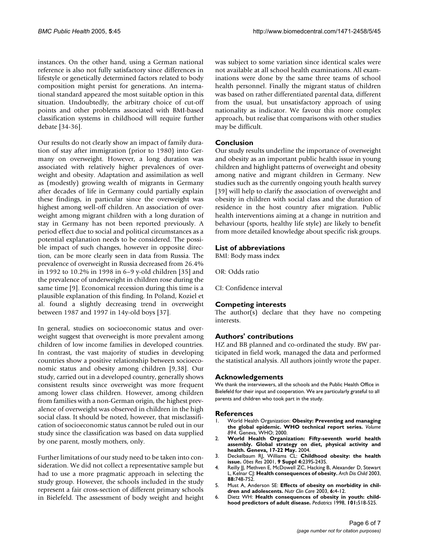instances. On the other hand, using a German national reference is also not fully satisfactory since differences in lifestyle or genetically determined factors related to body composition might persist for generations. An international standard appeared the most suitable option in this situation. Undoubtedly, the arbitrary choice of cut-off points and other problems associated with BMI-based classification systems in childhood will require further debate [34-36].

Our results do not clearly show an impact of family duration of stay after immigration (prior to 1980) into Germany on overweight. However, a long duration was associated with relatively higher prevalences of overweight and obesity. Adaptation and assimilation as well as (modestly) growing wealth of migrants in Germany after decades of life in Germany could partially explain these findings, in particular since the overweight was highest among well-off children. An association of overweight among migrant children with a long duration of stay in Germany has not been reported previously. A period effect due to social and political circumstances as a potential explanation needs to be considered. The possible impact of such changes, however in opposite direction, can be more clearly seen in data from Russia. The prevalence of overweight in Russia decreased from 26.4% in 1992 to 10.2% in 1998 in 6–9 y-old children [35] and the prevalence of underweight in children rose during the same time [9]. Economical recession during this time is a plausible explanation of this finding. In Poland, Koziel et al. found a slightly decreasing trend in overweight between 1987 and 1997 in 14y-old boys [37].

In general, studies on socioeconomic status and overweight suggest that overweight is more prevalent among children of low income families in developed countries. In contrast, the vast majority of studies in developing countries show a positive relationship between socioeconomic status and obesity among children [9,38]. Our study, carried out in a developed country, generally shows consistent results since overweight was more frequent among lower class children. However, among children from families with a non-German origin, the highest prevalence of overweight was observed in children in the high social class. It should be noted, however, that misclassification of socioeconomic status cannot be ruled out in our study since the classification was based on data supplied by one parent, mostly mothers, only.

Further limitations of our study need to be taken into consideration. We did not collect a representative sample but had to use a more pragmatic approach in selecting the study group. However, the schools included in the study represent a fair cross-section of different primary schools in Bielefeld. The assessment of body weight and height was subject to some variation since identical scales were not available at all school health examinations. All examinations were done by the same three teams of school health personnel. Finally the migrant status of children was based on rather differentiated parental data, different from the usual, but unsatisfactory approach of using nationality as indicator. We favour this more complex approach, but realise that comparisons with other studies may be difficult.

# **Conclusion**

Our study results underline the importance of overweight and obesity as an important public health issue in young children and highlight patterns of overweight and obesity among native and migrant children in Germany. New studies such as the currently ongoing youth health survey [39] will help to clarify the association of overweight and obesity in children with social class and the duration of residence in the host country after migration. Public health interventions aiming at a change in nutrition and behaviour (sports, healthy life style) are likely to benefit from more detailed knowledge about specific risk groups.

# **List of abbreviations**

BMI: Body mass index

OR: Odds ratio

CI: Confidence interval

# **Competing interests**

The author(s) declare that they have no competing interests.

## **Authors' contributions**

HZ and BB planned and co-ordinated the study. BW participated in field work, managed the data and performed the statistical analysis. All authors jointly wrote the paper.

## **Acknowledgements**

We thank the interviewers, all the schools and the Public Health Office in Bielefeld for their input and cooperation. We are particularly grateful to all parents and children who took part in the study.

## **References**

- 1. World Health Organization: **Obesity: Preventing and managing the global epidemic. WHO technical report series.** *Volume 894*. Geneva, WHO; 2000.
- 2. **World Health Organization: Fifty-seventh world health assembly. Global strategy on diet, physical activity and health. Geneva, 17-22 May.** 2004.
- 3. Deckelbaum RJ, Williams CL: **[Childhood obesity: the health](http://www.ncbi.nlm.nih.gov/entrez/query.fcgi?cmd=Retrieve&db=PubMed&dopt=Abstract&list_uids=11707548) [issue.](http://www.ncbi.nlm.nih.gov/entrez/query.fcgi?cmd=Retrieve&db=PubMed&dopt=Abstract&list_uids=11707548)** *Obes Res* 2001, **9 Suppl 4:**239S-243S.
- 4. Reilly JJ, Methven E, McDowell ZC, Hacking B, Alexander D, Stewart L, Kelnar CJ: **[Health consequences of obesity.](http://www.ncbi.nlm.nih.gov/entrez/query.fcgi?cmd=Retrieve&db=PubMed&dopt=Abstract&list_uids=12937090)** *Arch Dis Child* 2003, **88:**748-752.
- 5. Must A, Anderson SE: **[Effects of obesity on morbidity in chil](http://www.ncbi.nlm.nih.gov/entrez/query.fcgi?cmd=Retrieve&db=PubMed&dopt=Abstract&list_uids=12841425)[dren and adolescents.](http://www.ncbi.nlm.nih.gov/entrez/query.fcgi?cmd=Retrieve&db=PubMed&dopt=Abstract&list_uids=12841425)** *Nutr Clin Care* 2003, **6:**4-12.
- 6. Dietz WH: **[Health consequences of obesity in youth: child](http://www.ncbi.nlm.nih.gov/entrez/query.fcgi?cmd=Retrieve&db=PubMed&dopt=Abstract&list_uids=12224658)[hood predictors of adult disease.](http://www.ncbi.nlm.nih.gov/entrez/query.fcgi?cmd=Retrieve&db=PubMed&dopt=Abstract&list_uids=12224658)** *Pediatrics* 1998, **101:**518-525.